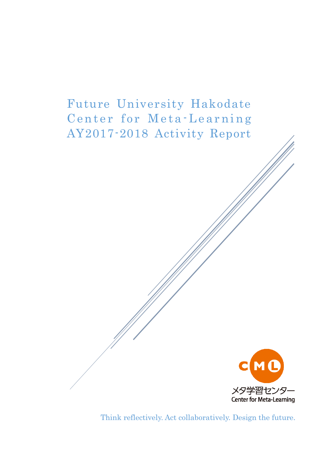# Future University Hakodate Center for Meta-Learning AY2017-2018 Activity Report



Think reflectively. Act collaboratively. Design the future.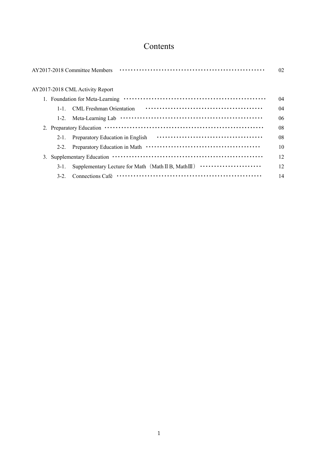# Contents

|           | AY2017-2018 Committee Members    | 02 |
|-----------|----------------------------------|----|
|           | AY2017-2018 CML Activity Report  |    |
|           |                                  | 04 |
| $1 - 1$   | CML Freshman Orientation         | 04 |
|           | $1-2.$                           | 06 |
|           |                                  | 08 |
| $2-1$ .   | Preparatory Education in English | 08 |
| $2 - 2$ . |                                  | 10 |
| 3.        |                                  | 12 |
| $3-1$ .   |                                  | 12 |
| $3-2$ .   |                                  | 14 |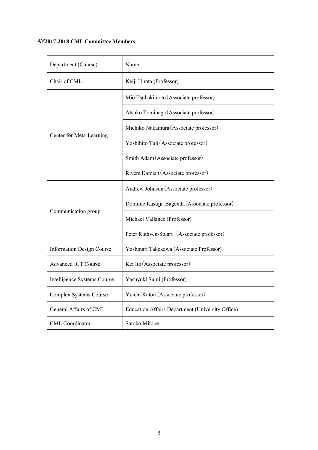# AY**2017-2018 CML Committee Members**

| Department (Course)              | Name                                             |  |  |  |  |
|----------------------------------|--------------------------------------------------|--|--|--|--|
| Chair of CML                     | Keiji Hirata (Professor)                         |  |  |  |  |
|                                  | Mio Tsubakimoto (Associate professor)            |  |  |  |  |
|                                  | Atsuko Tominaga (Associate professor)            |  |  |  |  |
|                                  | Michiko Nakamura (Associate professor)           |  |  |  |  |
| Center for Meta-Learning         | Yoshihito Tuji (Associate professor)             |  |  |  |  |
|                                  | Smith Adam (Associate professor)                 |  |  |  |  |
|                                  | Rivers Damian (Associate professor)              |  |  |  |  |
|                                  | Andrew Johnson (Associate professor)             |  |  |  |  |
|                                  | Dominic Kasujja Bagenda (Associate professor)    |  |  |  |  |
| Communication group              | Michael Vallance (Professor)                     |  |  |  |  |
|                                  | Peter Ruthven-Stuart (Associate professor)       |  |  |  |  |
| <b>Information Design Course</b> | Yoshinari Takekawa (Associate Professor)         |  |  |  |  |
| <b>Advanced ICT Course</b>       | Kei Ito (Associate professor)                    |  |  |  |  |
| Intelligence Systems Course      | Yasuyuki Sumi (Professor)                        |  |  |  |  |
| Complex Systems Course           | Yuichi Katori (Associate professor)              |  |  |  |  |
| General Affairs of CML           | Education Affairs Department (University Office) |  |  |  |  |
| <b>CML</b> Coordinator           | Satoko Mitobe                                    |  |  |  |  |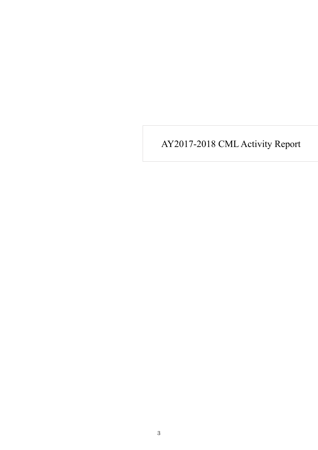AY2017-2018 CML Activity Report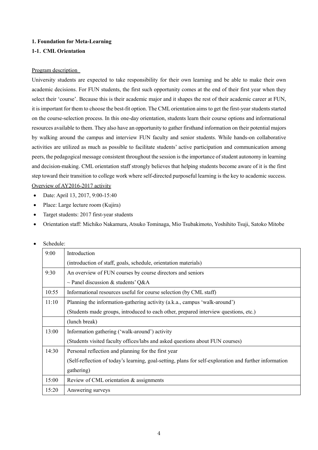#### **1. Foundation for Meta-Learning**

# **1-1**.**CML Orientation**

#### Program description

University students are expected to take responsibility for their own learning and be able to make their own academic decisions. For FUN students, the first such opportunity comes at the end of their first year when they select their 'course'. Because this is their academic major and it shapes the rest of their academic career at FUN, it is important for them to choose the best-fit option. The CML orientation aims to get the first-year students started on the course-selection process. In this one-day orientation, students learn their course options and informational resources available to them. They also have an opportunity to gather firsthand information on their potential majors by walking around the campus and interview FUN faculty and senior students. While hands-on collaborative activities are utilized as much as possible to facilitate students' active participation and communication among peers, the pedagogical message consistent throughout the session is the importance of student autonomy in learning and decision-making. CML orientation staff strongly believes that helping students become aware of it is the first step toward their transition to college work where self-directed purposeful learning is the key to academic success. Overview of AY2016-2017 activity

- Date: April 13, 2017, 9:00-15:40
- Place: Large lecture room (Kujira)
- Target students: 2017 first-year students
- Orientation staff: Michiko Nakamura, Atsuko Tominaga, Mio Tsubakimoto, Yoshihito Tsuji, Satoko Mitobe

|       | Schedule:                                                                                              |  |  |  |  |  |
|-------|--------------------------------------------------------------------------------------------------------|--|--|--|--|--|
| 9:00  | Introduction                                                                                           |  |  |  |  |  |
|       | (introduction of staff, goals, schedule, orientation materials)                                        |  |  |  |  |  |
| 9:30  | An overview of FUN courses by course directors and seniors                                             |  |  |  |  |  |
|       | $\sim$ Panel discussion & students' Q&A                                                                |  |  |  |  |  |
| 10:55 | Informational resources useful for course selection (by CML staff)                                     |  |  |  |  |  |
| 11:10 | Planning the information-gathering activity (a.k.a., campus 'walk-around')                             |  |  |  |  |  |
|       | (Students made groups, introduced to each other, prepared interview questions, etc.)                   |  |  |  |  |  |
|       | (lunch break)                                                                                          |  |  |  |  |  |
| 13:00 | Information gathering ('walk-around') activity                                                         |  |  |  |  |  |
|       | (Students visited faculty offices/labs and asked questions about FUN courses)                          |  |  |  |  |  |
| 14:30 | Personal reflection and planning for the first year                                                    |  |  |  |  |  |
|       | (Self-reflection of today's learning, goal-setting, plans for self-exploration and further information |  |  |  |  |  |
|       | gathering)                                                                                             |  |  |  |  |  |
| 15:00 | Review of CML orientation & assignments                                                                |  |  |  |  |  |
| 15:20 | Answering surveys                                                                                      |  |  |  |  |  |
|       |                                                                                                        |  |  |  |  |  |

# • Schedule: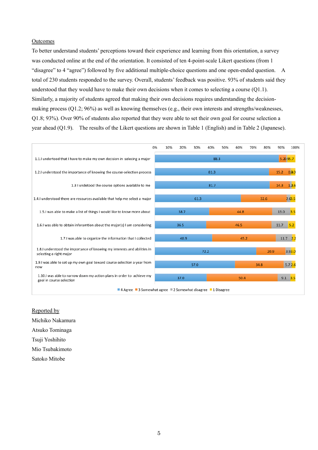#### **Outcomes**

To better understand students' perceptions toward their experience and learning from this orientation, a survey was conducted online at the end of the orientation. It consisted of ten 4-point-scale Likert questions (from 1 "disagree" to 4 "agree") followed by five additional multiple-choice questions and one open-ended question. A total of 230 students responded to the survey. Overall, students' feedback was positive. 93% of students said they understood that they would have to make their own decisions when it comes to selecting a course  $(Q1.1)$ . Similarly, a majority of students agreed that making their own decisions requires understanding the decisionmaking process (Q1.2; 96%) as well as knowing themselves (e.g., their own interests and strengths/weaknesses, Q1.8; 93%). Over 90% of students also reported that they were able to set their own goal for course selection a year ahead (Q1.9). The results of the Likert questions are shown in Table 1 (English) and in Table 2 (Japanese).



Reported by Michiko Nakamura Atsuko Tominaga Tsuji Yoshihito Mio Tsubakimoto Satoko Mitobe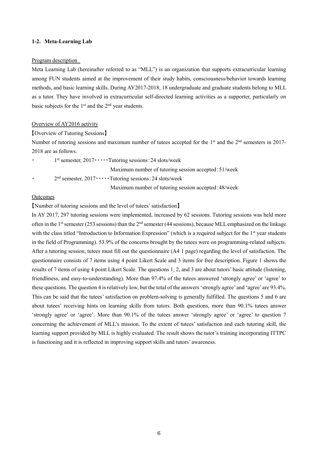#### **1-2. Meta-Learning Lab**

#### Program description

Meta Learning Lab (hereinafter referred to as "MLL") is an organization that supports extracurricular learning among FUN students aimed at the improvement of their study habits, consciousness/behavior towards learning methods, and basic learning skills. During AY2017-2018, 18 undergraduate and graduate students belong to MLL as a tutor. They have involved in extracurricular self-directed learning activities as a supporter, particularly on basic subjects for the 1st and the 2nd year students.

#### Overview of AY2016 activity

#### 【Overview of Tutoring Sessions】

Number of tutoring sessions and maximum number of tutees accepted for the 1<sup>st</sup> and the 2<sup>nd</sup> semesters in 2017-2018 are as follows.

• 1<sup>st</sup> semester, 2017•••••Tutoring sessions: 24 slots/week

Maximum number of tutoring session accepted:51/week

•  $2<sup>nd</sup>$  semester,  $2017 \cdots$  Tutoring sessions: 24 slots/week

Maximum number of tutoring session accepted:48/week

# **Outcomes**

【Number of tutoring sessions and the level of tutees' satisfaction】

In AY 2017, 297 tutoring sessions were implemented, increased by 62 sessions. Tutoring sessions was held more often in the 1<sup>st</sup> semester (253 sessions) than the  $2<sup>nd</sup>$  semester (44 sessions), because MLL emphasized on the linkage with the class titled "Introduction to Information Expression" (which is a required subject for the 1<sup>st</sup> year students in the field of Programming). 53.9% of the concerns brought by the tutees were on programming-related subjects. After a tutoring session, tutees must fill out the questionnaire (A4 1 page) regarding the level of satisfaction. The questionnaire consists of 7 items using 4 point Likert Scale and 3 items for free description. Figure 1 shows the results of 7 items of using 4 point Likert Scale. The questions 1, 2, and 3 are about tutors' basic attitude (listening, friendliness, and easy-to-understanding). More than 97.4% of the tutees answered 'strongly agree' or 'agree' to these questions. The question 4 is relatively low, but the total of the answers 'strongly agree' and 'agree' are 93.4%. This can be said that the tutees' satisfaction on problem-solving is generally fulfilled. The questions 5 and 6 are about tutees' receiving hints on learning skills from tutors. Both questions, more than 90.1% tutees answer 'strongly agree' or 'agree'. More than 90.1% of the tutees answer 'strongly agree' or 'agree' to question 7 concerning the achievement of MLL's mission. To the extent of tutees' satisfaction and each tutoring skill, the learning support provided by MLL is highly evaluated. The result shows the tutor's training incorporating ITTPC is functioning and it is reflected in improving support skills and tutors' awareness.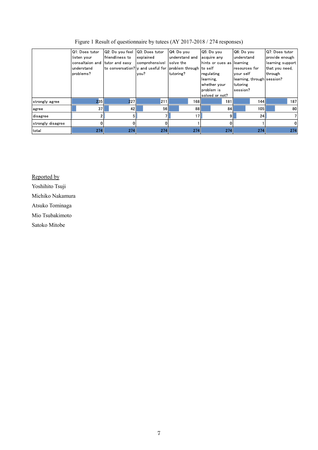|                   | IQ1: Does tutor  | Q2: Do you feel                                           | Q3: Does tutor | Q4: Do you       | Q5: Do you                 | Q6: Do you                 | IQ7: Does tutor  |
|-------------------|------------------|-----------------------------------------------------------|----------------|------------------|----------------------------|----------------------------|------------------|
|                   | listen your      | friendliness to                                           | explained      | understand and   | acquire any                | lunderstand                | provide enough   |
|                   | Iconsaltaion and | tutor and easy                                            | comprehensivel | solve the        | hints or cues as llearning |                            | learning support |
|                   | understand       | to conversation? y and useful for problem through to self |                |                  |                            | resources for              | that you need.   |
|                   | problems?        |                                                           | lvou?          | tutoring?        | regulating                 | your self                  | through          |
|                   |                  |                                                           |                |                  | learning.                  | learning, through session? |                  |
|                   |                  |                                                           |                |                  | whether your               | tutoring                   |                  |
|                   |                  |                                                           |                |                  | problem is                 | session?                   |                  |
|                   |                  |                                                           |                |                  | solved or not?             |                            |                  |
| strongly agree    | 235              | 227                                                       | 211            | 168 <sup>1</sup> | 181                        | 144                        | 187              |
| agree             | 37               | 42                                                        | 56             | 88               | 84                         | 105                        | 80               |
| disagree          |                  |                                                           |                | 17 <sup>1</sup>  | 9 <sub>1</sub>             | 24                         |                  |
| strongly disagree |                  |                                                           |                |                  |                            |                            | 0                |
| total             | 274              | 274                                                       | 274            | 274              | 274                        | 274                        | 274              |

Figure 1 Result of questionnaire by tutees (AY 2017-2018 / 274 responses)

Reported by

Yoshihito Tsuji

Michiko Nakamura

Atsuko Tominaga

Mio Tsubakimoto

Satoko Mitobe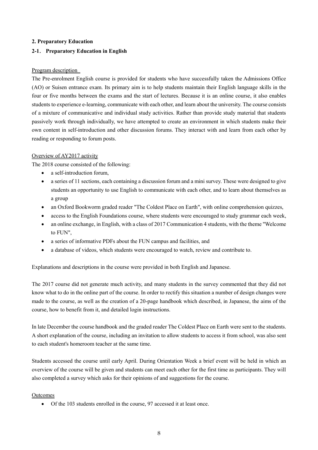## **2. Preparatory Education**

# **2-1**. **Preparatory Education in English**

#### Program description

The Pre-enrolment English course is provided for students who have successfully taken the Admissions Office (AO) or Suisen entrance exam. Its primary aim is to help students maintain their English language skills in the four or five months between the exams and the start of lectures. Because it is an online course, it also enables students to experience e-learning, communicate with each other, and learn about the university. The course consists of a mixture of communicative and individual study activities. Rather than provide study material that students passively work through individually, we have attempted to create an environment in which students make their own content in self-introduction and other discussion forums. They interact with and learn from each other by reading or responding to forum posts.

#### Overview of AY2017 activity

The 2018 course consisted of the following:

- a self-introduction forum,
- a series of 11 sections, each containing a discussion forum and a mini survey. These were designed to give students an opportunity to use English to communicate with each other, and to learn about themselves as a group
- an Oxford Bookworm graded reader "The Coldest Place on Earth", with online comprehension quizzes,
- access to the English Foundations course, where students were encouraged to study grammar each week,
- an online exchange, in English, with a class of 2017 Communication 4 students, with the theme "Welcome to FUN"
- a series of informative PDFs about the FUN campus and facilities, and
- a database of videos, which students were encouraged to watch, review and contribute to.

Explanations and descriptions in the course were provided in both English and Japanese.

The 2017 course did not generate much activity, and many students in the survey commented that they did not know what to do in the online part of the course. In order to rectify this situation a number of design changes were made to the course, as well as the creation of a 20-page handbook which described, in Japanese, the aims of the course, how to benefit from it, and detailed login instructions.

In late December the course handbook and the graded reader The Coldest Place on Earth were sent to the students. A short explanation of the course, including an invitation to allow students to access it from school, was also sent to each student's homeroom teacher at the same time.

Students accessed the course until early April. During Orientation Week a brief event will be held in which an overview of the course will be given and students can meet each other for the first time as participants. They will also completed a survey which asks for their opinions of and suggestions for the course.

#### Outcomes

Of the 103 students enrolled in the course, 97 accessed it at least once.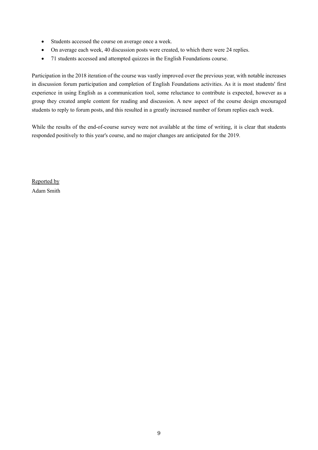- Students accessed the course on average once a week.
- On average each week, 40 discussion posts were created, to which there were 24 replies.
- 71 students accessed and attempted quizzes in the English Foundations course.

Participation in the 2018 iteration of the course was vastly improved over the previous year, with notable increases in discussion forum participation and completion of English Foundations activities. As it is most students' first experience in using English as a communication tool, some reluctance to contribute is expected, however as a group they created ample content for reading and discussion. A new aspect of the course design encouraged students to reply to forum posts, and this resulted in a greatly increased number of forum replies each week.

While the results of the end-of-course survey were not available at the time of writing, it is clear that students responded positively to this year's course, and no major changes are anticipated for the 2019.

Reported by Adam Smith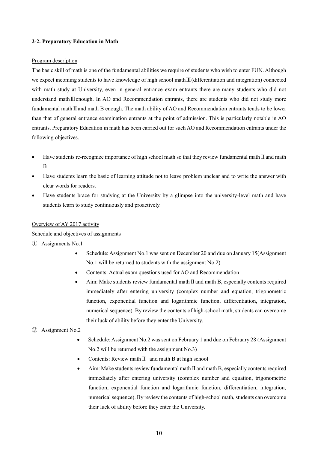# **2-2. Preparatory Education in Math**

#### Program description

The basic skill of math is one of the fundamental abilities we require of students who wish to enter FUN. Although we expect incoming students to have knowledge of high school mathⅢ(differentiation and integration) connected with math study at University, even in general entrance exam entrants there are many students who did not understand mathⅢenough. In AO and Recommendation entrants, there are students who did not study more fundamental mathⅡand math B enough. The math ability of AO and Recommendation entrants tends to be lower than that of general entrance examination entrants at the point of admission. This is particularly notable in AO entrants. Preparatory Education in math has been carried out for such AO and Recommendation entrants under the following objectives.

- Have students re-recognize importance of high school math so that they review fundamental math II and math B
- Have students learn the basic of learning attitude not to leave problem unclear and to write the answer with clear words for readers.
- Have students brace for studying at the University by a glimpse into the university-level math and have students learn to study continuously and proactively.

## Overview of AY 2017 activity

Schedule and objectives of assignments

- ① Assignments No.1
	- Schedule: Assignment No.1 was sent on December 20 and due on January 15 (Assignment No.1 will be returned to students with the assignment No.2)
	- Contents: Actual exam questions used for AO and Recommendation
	- Aim: Make students review fundamental mathⅡand math B, especially contents required immediately after entering university (complex number and equation, trigonometric function, exponential function and logarithmic function, differentiation, integration, numerical sequence). By review the contents of high-school math, students can overcome their luck of ability before they enter the University.
- ② Assignment No.2
	- Schedule: Assignment No.2 was sent on February 1 and due on February 28 (Assignment No.2 will be returned with the assignment No.3)
	- Contents: Review mathⅡ and math B at high school
	- Aim: Make students review fundamental mathⅡand math B, especially contents required immediately after entering university (complex number and equation, trigonometric function, exponential function and logarithmic function, differentiation, integration, numerical sequence). By review the contents of high-school math, students can overcome their luck of ability before they enter the University.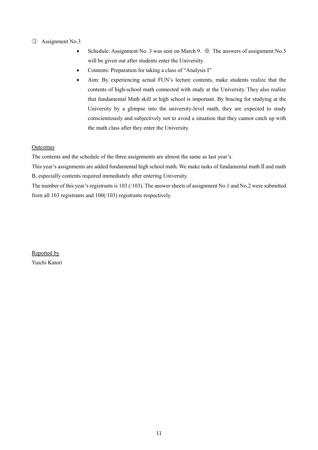# ③ Assignment No.3

- Schedule: Assignment No. 3 was sent on March 9.  $\mathcal{X}$  The answers of assignment No.3 will be given out after students enter the University.
- Contents: Preparation for taking a class of "Analysis I"
- Aim: By experiencing actual FUN's lecture contents, make students realize that the contents of high-school math connected with study at the University. They also realize that fundamental Math skill at high school is important. By bracing for studying at the University by a glimpse into the university-level math, they are expected to study conscientiously and subjectively not to avoid a situation that they cannot catch up with the math class after they enter the University.

# **Outcomes**

The contents and the schedule of the three assignments are almost the same as last year's.

This year's assignments are added fundamental high school math. We make tasks of fundamental math II and math B, especially contents required immediately after entering University.

The number of this year's registrants is 103 (/103). The answer sheets of assignment No.1 and No.2 were submitted from all 103 registrants and 100(/103) registrants respectively.

Reported by Yuichi Katori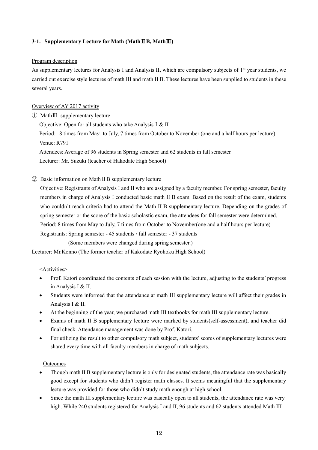# **3-1. Supplementary Lecture for Math (Math**Ⅱ**B, Math**Ⅲ**)**

## Program description

As supplementary lectures for Analysis I and Analysis II, which are compulsory subjects of  $1<sup>st</sup>$  year students, we carried out exercise style lectures of math III and math II B. These lectures have been supplied to students in these several years.

# Overview of AY 2017 activity

① MathⅢ supplementary lecture

Objective: Open for all students who take AnalysisⅠ& II

Period: 8 times from May to July, 7 times from October to November (one and a half hours per lecture) Venue: R791

Attendees: Average of 96 students in Spring semester and 62 students in fall semester Lecturer: Mr. Suzuki (teacher of Hakodate High School)

② Basic information on MathⅡB supplementary lecture

Objective: Registrants of Analysis I and II who are assigned by a faculty member. For spring semester, faculty members in charge of Analysis I conducted basic math II B exam. Based on the result of the exam, students who couldn't reach criteria had to attend the Math II B supplementary lecture. Depending on the grades of spring semester or the score of the basic scholastic exam, the attendees for fall semester were determined. Period: 8 times from May to July, 7 times from October to November(one and a half hours per lecture) Registrants: Spring semester - 45 students / fall semester - 37 students

(Some members were changed during spring semester.)

Lecturer: Mr.Konno (The former teacher of Kakodate Ryohoku High School)

<Activities>

- Prof. Katori coordinated the contents of each session with the lecture, adjusting to the students' progress in Analysis I & II.
- Students were informed that the attendance at math III supplementary lecture will affect their grades in Analysis I & II.
- At the beginning of the year, we purchased math III textbooks for math III supplementary lecture.
- Exams of math II B supplementary lecture were marked by students(self-assessment), and teacher did final check. Attendance management was done by Prof. Katori.
- For utilizing the result to other compulsory math subject, students' scores of supplementary lectures were shared every time with all faculty members in charge of math subjects.

# **Outcomes**

- Though math II B supplementary lecture is only for designated students, the attendance rate was basically good except for students who didn't register math classes. It seems meaningful that the supplementary lecture was provided for those who didn't study math enough at high school.
- Since the math III supplementary lecture was basically open to all students, the attendance rate was very high. While 240 students registered for Analysis I and II, 96 students and 62 students attended Math III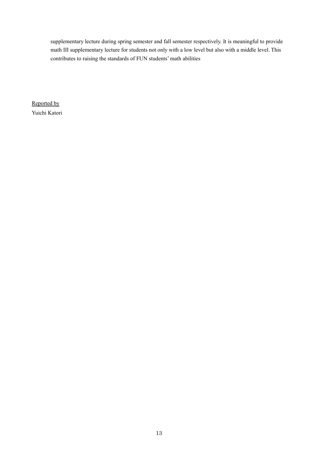supplementary lecture during spring semester and fall semester respectively. It is meaningful to provide math III supplementary lecture for students not only with a low level but also with a middle level. This contributes to raising the standards of FUN students' math abilities

Reported by Yuichi Katori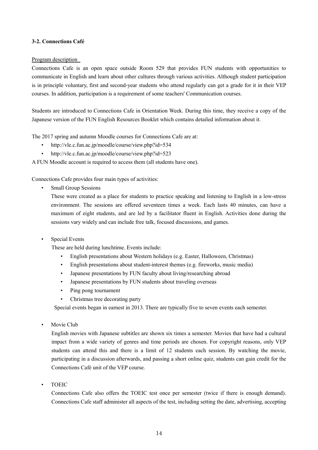# **3-2. Connections Café**

#### Program description

Connections Cafe is an open space outside Room 529 that provides FUN students with opportunities to communicate in English and learn about other cultures through various activities. Although student participation is in principle voluntary, first and second-year students who attend regularly can get a grade for it in their VEP courses. In addition, participation is a requirement of some teachers' Communication courses.

Students are introduced to Connections Cafe in Orientation Week. During this time, they receive a copy of the Japanese version of the FUN English Resources Booklet which contains detailed information about it.

The 2017 spring and autumn Moodle courses for Connections Cafe are at:

- http://vle.c.fun.ac.jp/moodle/course/view.php?id=534
- http://vle.c.fun.ac.jp/moodle/course/view.php?id=523

A FUN Moodle account is required to access them (all students have one).

Connections Cafe provides four main types of activities:

• Small Group Sessions

These were created as a place for students to practice speaking and listening to English in a low-stress environment. The sessions are offered seventeen times a week. Each lasts 40 minutes, can have a maximum of eight students, and are led by a facilitator fluent in English. Activities done during the sessions vary widely and can include free talk, focused discussions, and games.

Special Events

These are held during lunchtime. Events include:

- English presentations about Western holidays (e.g. Easter, Halloween, Christmas)
- English presentations about student-interest themes (e.g. fireworks, music media)
- Japanese presentations by FUN faculty about living/researching abroad
- Japanese presentations by FUN students about traveling overseas
- Ping pong tournament
- Christmas tree decorating party

Special events began in earnest in 2013. There are typically five to seven events each semester.

Movie Club

English movies with Japanese subtitles are shown six times a semester. Movies that have had a cultural impact from a wide variety of genres and time periods are chosen. For copyright reasons, only VEP students can attend this and there is a limit of 12 students each session. By watching the movie, participating in a discussion afterwards, and passing a short online quiz, students can gain credit for the Connections Café unit of the VEP course.

• TOEIC

Connections Cafe also offers the TOEIC test once per semester (twice if there is enough demand). Connections Cafe staff administer all aspects of the test, including setting the date, advertising, accepting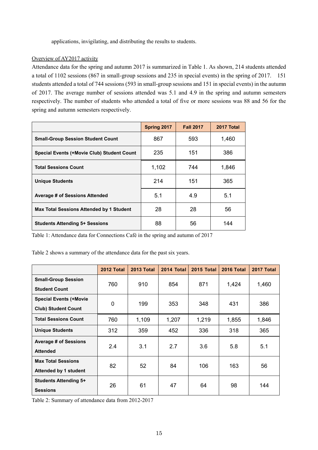applications, invigilating, and distributing the results to students.

# Overview of AY2017 activity

Attendance data for the spring and autumn 2017 is summarized in Table 1. As shown, 214 students attended a total of 1102 sessions (867 in small-group sessions and 235 in special events) in the spring of 2017. 151 students attended a total of 744 sessions (593 in small-group sessions and 151 in special events) in the autumn of 2017. The average number of sessions attended was 5.1 and 4.9 in the spring and autumn semesters respectively. The number of students who attended a total of five or more sessions was 88 and 56 for the spring and autumn semesters respectively.

|                                                   | Spring 2017 | <b>Fall 2017</b> | 2017 Total |
|---------------------------------------------------|-------------|------------------|------------|
| <b>Small-Group Session Student Count</b>          | 867         | 593              | 1,460      |
| <b>Special Events (+Movie Club) Student Count</b> | 235         | 151              | 386        |
| <b>Total Sessions Count</b>                       | 1,102       | 744              | 1,846      |
| <b>Unique Students</b>                            | 214         | 151              | 365        |
| <b>Average # of Sessions Attended</b>             | 5.1         | 4.9              | 5.1        |
| Max Total Sessions Attended by 1 Student          | 28          | 28               | 56         |
| <b>Students Attending 5+ Sessions</b>             | 88          | 56               | 144        |

Table 1: Attendance data for Connections Café in the spring and autumn of 2017

Table 2 shows a summary of the attendance data for the past six years.

|                                                             | 2012 Total  | 2013 Total | 2014 Total | <b>2015 Total</b> | 2016 Total | 2017 Total |
|-------------------------------------------------------------|-------------|------------|------------|-------------------|------------|------------|
| <b>Small-Group Session</b><br><b>Student Count</b>          | 760         | 910        | 854        | 871               | 1,424      | 1,460      |
| <b>Special Events (+Movie</b><br><b>Club) Student Count</b> | $\mathbf 0$ | 199        | 353        | 348               | 431        | 386        |
| <b>Total Sessions Count</b>                                 | 760         | 1,109      | 1,207      | 1,219             | 1,855      | 1,846      |
| <b>Unique Students</b>                                      | 312         | 359        | 452        | 336               | 318        | 365        |
| <b>Average # of Sessions</b><br><b>Attended</b>             | 2.4         | 3.1        | 2.7        | 3.6               | 5.8        | 5.1        |
| <b>Max Total Sessions</b><br><b>Attended by 1 student</b>   | 82          | 52         | 84         | 106               | 163        | 56         |
| <b>Students Attending 5+</b><br><b>Sessions</b>             | 26          | 61         | 47         | 64                | 98         | 144        |

Table 2: Summary of attendance data from 2012-2017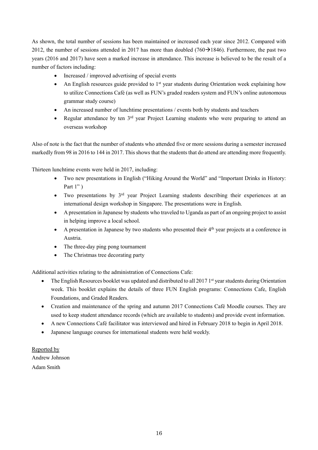As shown, the total number of sessions has been maintained or increased each year since 2012. Compared with 2012, the number of sessions attended in 2017 has more than doubled (760 $\rightarrow$ 1846). Furthermore, the past two years (2016 and 2017) have seen a marked increase in attendance. This increase is believed to be the result of a number of factors including:

- Increased / improved advertising of special events
- An English resources guide provided to  $1<sup>st</sup>$  year students during Orientation week explaining how to utilize Connections Café (as well as FUN's graded readers system and FUN's online autonomous grammar study course)
- An increased number of lunchtime presentations / events both by students and teachers
- Regular attendance by ten  $3<sup>rd</sup>$  year Project Learning students who were preparing to attend an overseas workshop

Also of note is the fact that the number of students who attended five or more sessions during a semester increased markedly from 98 in 2016 to 144 in 2017. This shows that the students that do attend are attending more frequently.

Thirteen lunchtime events were held in 2017, including:

- Two new presentations in English ("Hiking Around the World" and "Important Drinks in History: Part 1" )
- $\bullet$  Two presentations by  $3<sup>rd</sup>$  year Project Learning students describing their experiences at an international design workshop in Singapore. The presentations were in English.
- A presentation in Japanese by students who traveled to Uganda as part of an ongoing project to assist in helping improve a local school.
- $\bullet$  A presentation in Japanese by two students who presented their  $4<sup>th</sup>$  year projects at a conference in Austria.
- The three-day ping pong tournament
- The Christmas tree decorating party

Additional activities relating to the administration of Connections Cafe:

- $\bullet$  The English Resources booklet was updated and distributed to all 2017 1<sup>st</sup> year students during Orientation week. This booklet explains the details of three FUN English programs: Connections Cafe, English Foundations, and Graded Readers.
- Creation and maintenance of the spring and autumn 2017 Connections Café Moodle courses. They are used to keep student attendance records (which are available to students) and provide event information.
- A new Connections Café facilitator was interviewed and hired in February 2018 to begin in April 2018.
- Japanese language courses for international students were held weekly.

Reported by Andrew Johnson Adam Smith